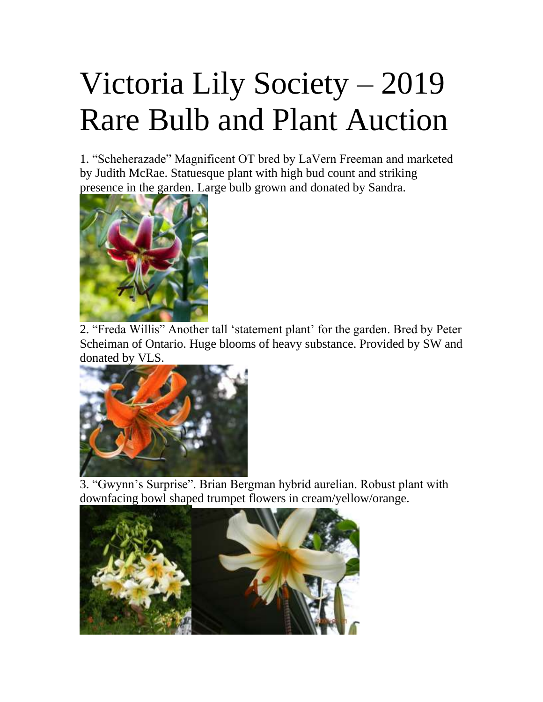## Victoria Lily Society – 2019 Rare Bulb and Plant Auction

1. "Scheherazade" Magnificent OT bred by LaVern Freeman and marketed by Judith McRae. Statuesque plant with high bud count and striking presence in the garden. Large bulb grown and donated by Sandra.



2. "Freda Willis" Another tall 'statement plant' for the garden. Bred by Peter Scheiman of Ontario. Huge blooms of heavy substance. Provided by SW and donated by VLS.



3. "Gwynn's Surprise". Brian Bergman hybrid aurelian. Robust plant with downfacing bowl shaped trumpet flowers in cream/yellow/orange.

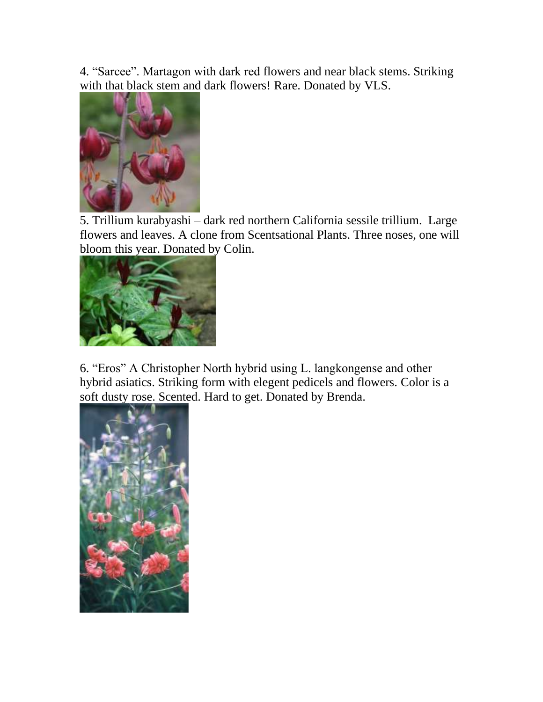4. "Sarcee". Martagon with dark red flowers and near black stems. Striking with that black stem and dark flowers! Rare. Donated by VLS.



5. Trillium kurabyashi – dark red northern California sessile trillium. Large flowers and leaves. A clone from Scentsational Plants. Three noses, one will bloom this year. Donated by Colin.



6. "Eros" A Christopher North hybrid using L. langkongense and other hybrid asiatics. Striking form with elegent pedicels and flowers. Color is a soft dusty rose. Scented. Hard to get. Donated by Brenda.

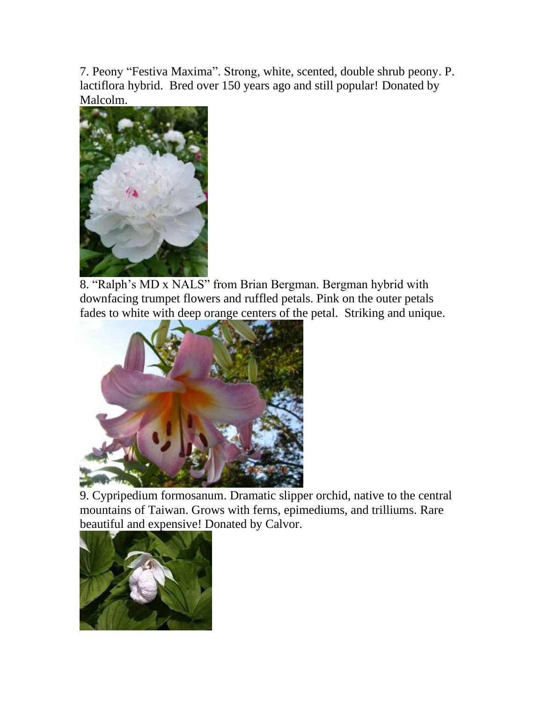7. Peony "Festiva Maxima". Strong, white, scented, double shrub peony. P. lactiflora hybrid. Bred over 150 years ago and still popular! Donated by Malcolm.



8. "Ralph's MD x NALS" from Brian Bergman. Bergman hybrid with downfacing trumpet flowers and ruffled petals. Pink on the outer petals fades to white with deep orange centers of the petal. Striking and unique.



9. Cypripedium formosanum. Dramatic slipper orchid, native to the central mountains of Taiwan. Grows with ferns, epimediums, and trilliums. Rare beautiful and expensive! Donated by Calvor.

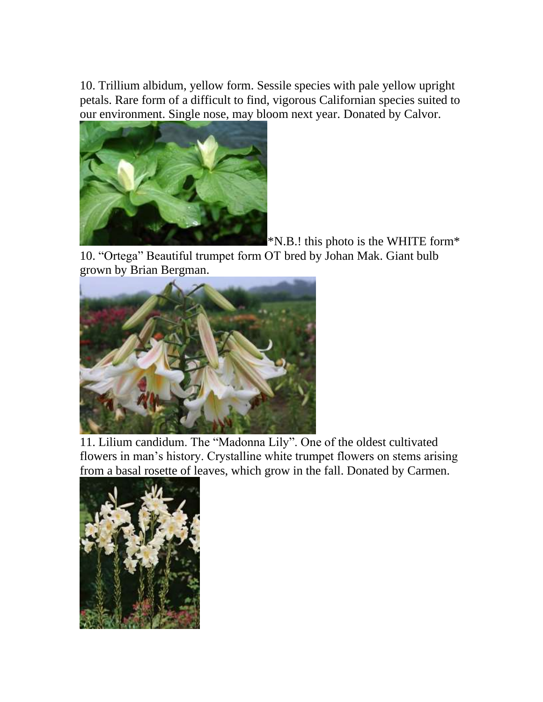10. Trillium albidum, yellow form. Sessile species with pale yellow upright petals. Rare form of a difficult to find, vigorous Californian species suited to our environment. Single nose, may bloom next year. Donated by Calvor.



 $*$ N.B.! this photo is the WHITE form $*$ 

10. "Ortega" Beautiful trumpet form OT bred by Johan Mak. Giant bulb grown by Brian Bergman.



11. Lilium candidum. The "Madonna Lily". One of the oldest cultivated flowers in man's history. Crystalline white trumpet flowers on stems arising from a basal rosette of leaves, which grow in the fall. Donated by Carmen.

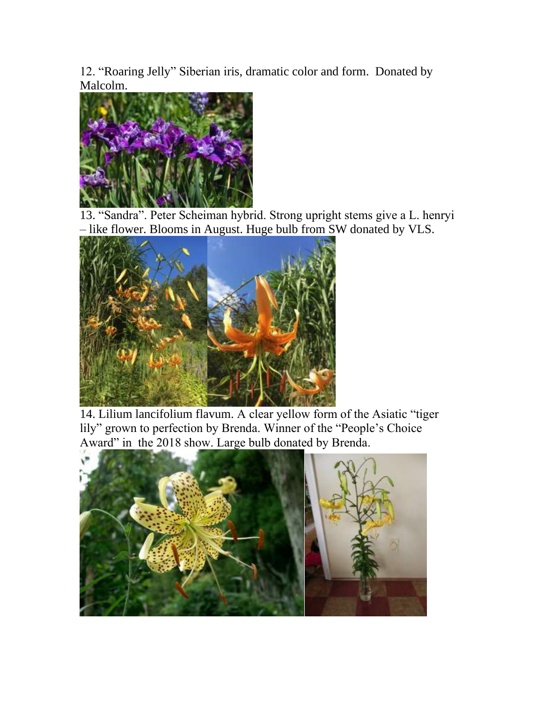12. "Roaring Jelly" Siberian iris, dramatic color and form. Donated by Malcolm.



13. "Sandra". Peter Scheiman hybrid. Strong upright stems give a L. henryi – like flower. Blooms in August. Huge bulb from SW donated by VLS.



14. Lilium lancifolium flavum. A clear yellow form of the Asiatic "tiger lily" grown to perfection by Brenda. Winner of the "People's Choice Award" in the 2018 show. Large bulb donated by Brenda.

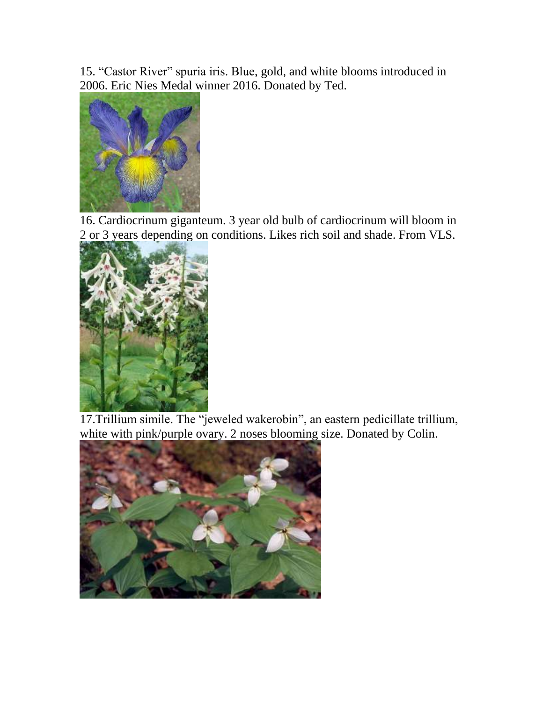15. "Castor River" spuria iris. Blue, gold, and white blooms introduced in 2006. Eric Nies Medal winner 2016. Donated by Ted.



16. Cardiocrinum giganteum. 3 year old bulb of cardiocrinum will bloom in 2 or 3 years depending on conditions. Likes rich soil and shade. From VLS.



17.Trillium simile. The "jeweled wakerobin", an eastern pedicillate trillium, white with pink/purple ovary. 2 noses blooming size. Donated by Colin.

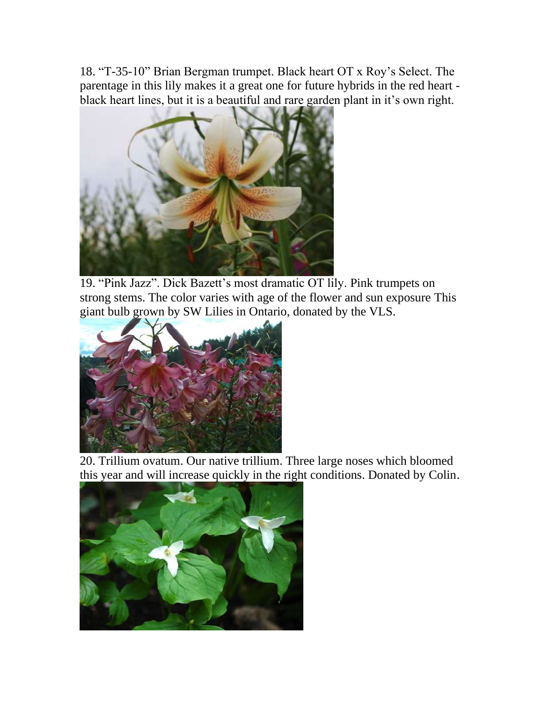18. "T-35-10" Brian Bergman trumpet. Black heart OT x Roy's Select. The parentage in this lily makes it a great one for future hybrids in the red heart black heart lines, but it is a beautiful and rare garden plant in it's own right.



19. "Pink Jazz". Dick Bazett's most dramatic OT lily. Pink trumpets on strong stems. The color varies with age of the flower and sun exposure This giant bulb grown by SW Lilies in Ontario, donated by the VLS.



20. Trillium ovatum. Our native trillium. Three large noses which bloomed this year and will increase quickly in the right conditions. Donated by Colin.

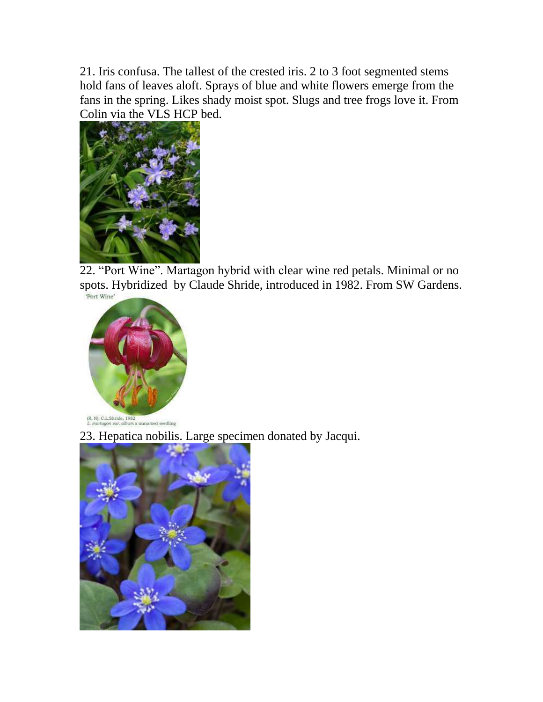21. Iris confusa. The tallest of the crested iris. 2 to 3 foot segmented stems hold fans of leaves aloft. Sprays of blue and white flowers emerge from the fans in the spring. Likes shady moist spot. Slugs and tree frogs love it. From Colin via the VLS HCP bed.



22. "Port Wine". Martagon hybrid with clear wine red petals. Minimal or no spots. Hybridized by Claude Shride, introduced in 1982. From SW Gardens.



23. Hepatica nobilis. Large specimen donated by Jacqui.

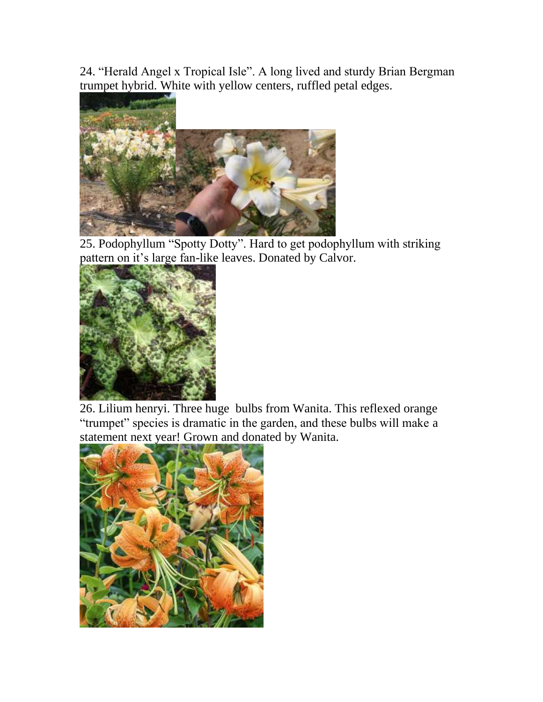24. "Herald Angel x Tropical Isle". A long lived and sturdy Brian Bergman trumpet hybrid. White with yellow centers, ruffled petal edges.



25. Podophyllum "Spotty Dotty". Hard to get podophyllum with striking pattern on it's large fan-like leaves. Donated by Calvor.



26. Lilium henryi. Three huge bulbs from Wanita. This reflexed orange "trumpet" species is dramatic in the garden, and these bulbs will make a statement next year! Grown and donated by Wanita.

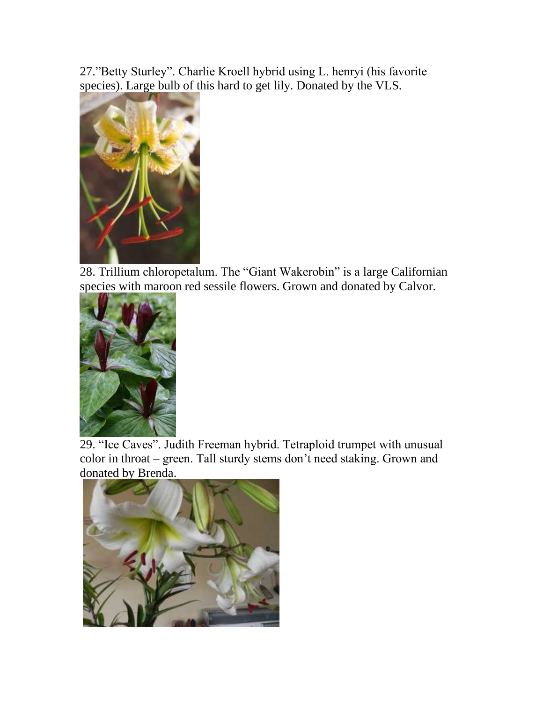27."Betty Sturley". Charlie Kroell hybrid using L. henryi (his favorite species). Large bulb of this hard to get lily. Donated by the VLS.



28. Trillium chloropetalum. The "Giant Wakerobin" is a large Californian species with maroon red sessile flowers. Grown and donated by Calvor.



29. "Ice Caves". Judith Freeman hybrid. Tetraploid trumpet with unusual color in throat – green. Tall sturdy stems don't need staking. Grown and donated by Brenda.

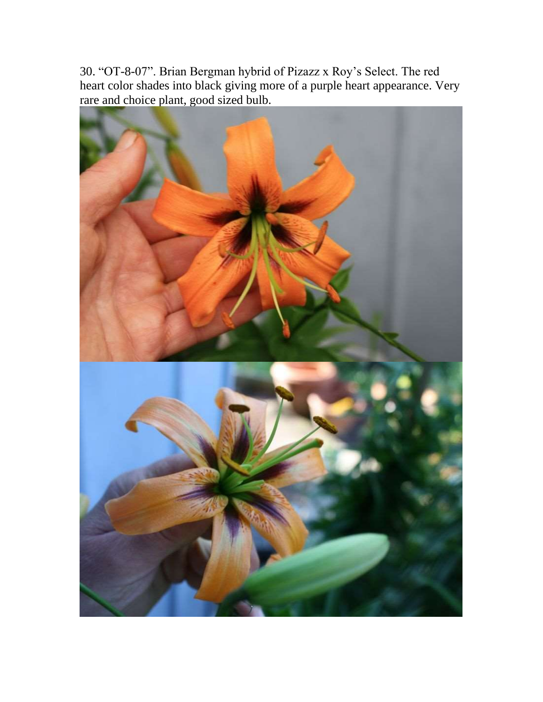30. "OT-8-07". Brian Bergman hybrid of Pizazz x Roy's Select. The red heart color shades into black giving more of a purple heart appearance. Very rare and choice plant, good sized bulb.

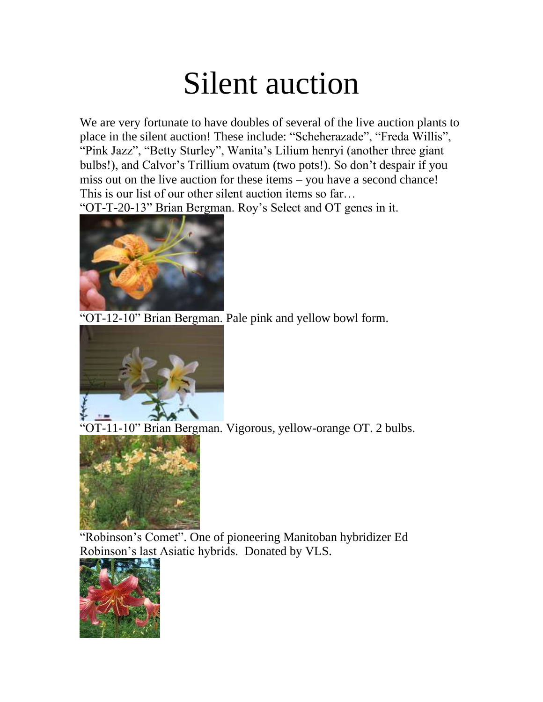## Silent auction

We are very fortunate to have doubles of several of the live auction plants to place in the silent auction! These include: "Scheherazade", "Freda Willis", "Pink Jazz", "Betty Sturley", Wanita's Lilium henryi (another three giant bulbs!), and Calvor's Trillium ovatum (two pots!). So don't despair if you miss out on the live auction for these items – you have a second chance! This is our list of our other silent auction items so far…

"OT-T-20-13" Brian Bergman. Roy's Select and OT genes in it.



"OT-12-10" Brian Bergman. Pale pink and yellow bowl form.



"OT-11-10" Brian Bergman. Vigorous, yellow-orange OT. 2 bulbs.



"Robinson's Comet". One of pioneering Manitoban hybridizer Ed Robinson's last Asiatic hybrids. Donated by VLS.